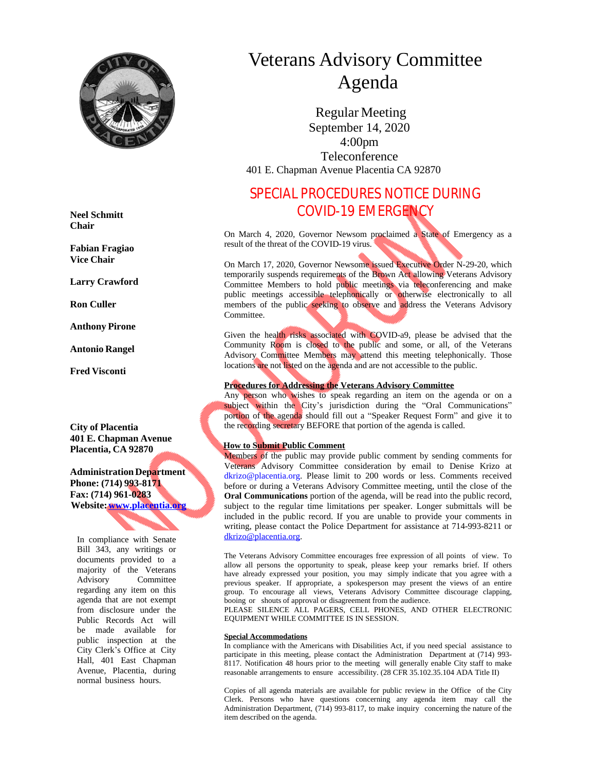

**Neel Schmitt Chair**

**Fabian Fragiao Vice Chair**

**Larry Crawford**

**Ron Culler**

**Anthony Pirone**

**Antonio Rangel**

**Fred Visconti**

**City of Placentia 401 E. Chapman Avenue Placentia, CA 92870**

**AdministrationDepartment Phone: (714) 993-8171 Fax: (714) 961-0283 Website:[www.placentia.org](http://www.placentia.org/)**

In compliance with Senate Bill 343, any writings or documents provided to a majority of the Veterans Advisory Committee regarding any item on this agenda that are not exempt from disclosure under the Public Records Act will be made available for public inspection at the City Clerk's Office at City Hall, 401 East Chapman Avenue, Placentia, during normal business hours.

# Veterans Advisory Committee Agenda

 Regular Meeting September 14, 2020 4:00pm Teleconference 401 E. Chapman Avenue Placentia CA 92870

# SPECIAL PROCEDURES NOTICE DURING COVID-19 EMERGENCY

On March 4, 2020, Governor Newsom proclaimed a State of Emergency as a result of the threat of the COVID-19 virus.

On March 17, 2020, Governor Newsome issued Executive Order N-29-20, which temporarily suspends requirements of the Brown Act allowing Veterans Advisory Committee Members to hold public meetings via teleconferencing and make public meetings accessible telephonically or otherwise electronically to all members of the public seeking to observe and address the Veterans Advisory Committee.

Given the health risks associated with COVID-a9, please be advised that the Community Room is closed to the public and some, or all, of the Veterans Advisory Committee Members may attend this meeting telephonically. Those locations are not listed on the agenda and are not accessible to the public.

#### **Procedures for Addressing the Veterans Advisory Committee**

Any person who wishes to speak regarding an item on the agenda or on a subject within the City's jurisdiction during the "Oral Communications" portion of the agenda should fill out a "Speaker Request Form" and give it to the recording secretary BEFORE that portion of the agenda is called.

#### **How to Submit Public Comment**

Members of the public may provide public comment by sending comments for Veterans Advisory Committee consideration by email to Denise Krizo at dkrizo@placentia.org. Please limit to 200 words or less. Comments received before or during a Veterans Advisory Committee meeting, until the close of the **Oral Communications** portion of the agenda, will be read into the public record, subject to the regular time limitations per speaker. Longer submittals will be included in the public record. If you are unable to provide your comments in writing, please contact the Police Department for assistance at 714-993-8211 or [dkrizo@placentia.org](mailto:dkrizo@placentia.org).

The Veterans Advisory Committee encourages free expression of all points of view. To allow all persons the opportunity to speak, please keep your remarks brief. If others have already expressed your position, you may simply indicate that you agree with a previous speaker. If appropriate, a spokesperson may present the views of an entire group. To encourage all views, Veterans Advisory Committee discourage clapping, booing or shouts of approval or disagreement from the audience.

PLEASE SILENCE ALL PAGERS, CELL PHONES, AND OTHER ELECTRONIC EQUIPMENT WHILE COMMITTEE IS IN SESSION.

#### **Special Accommodations**

In compliance with the Americans with Disabilities Act, if you need special assistance to participate in this meeting, please contact the Administration Department at (714) 993- 8117. Notification 48 hours prior to the meeting will generally enable City staff to make reasonable arrangements to ensure accessibility. (28 CFR 35.102.35.104 ADA Title II)

Copies of all agenda materials are available for public review in the Office of the City Clerk. Persons who have questions concerning any agenda item may call the Administration Department, (714) 993-8117, to make inquiry concerning the nature of the item described on the agenda.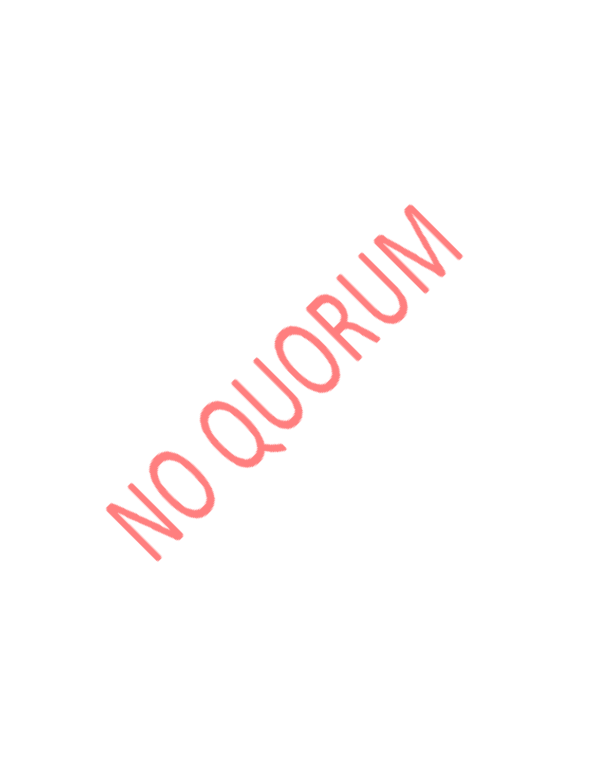**POLICETER**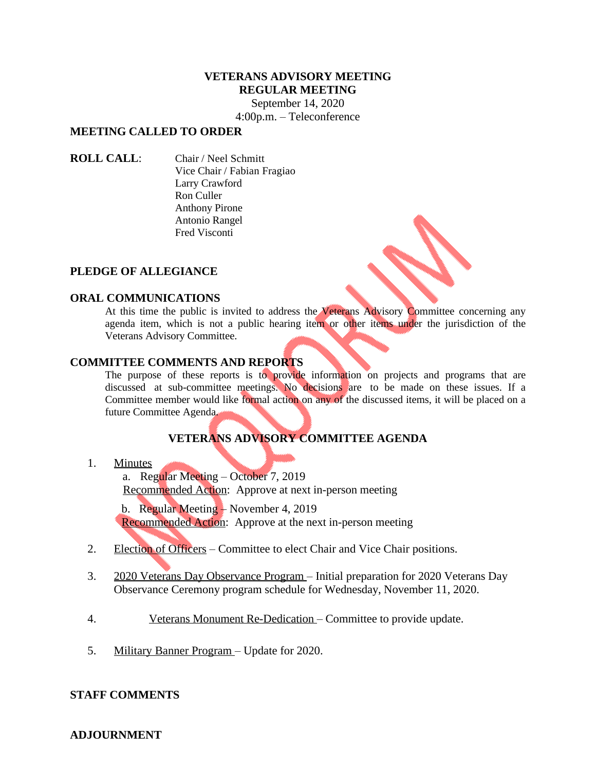#### **VETERANS ADVISORY MEETING REGULAR MEETING**

September 14, 2020 4:00p.m. – Teleconference

## **MEETING CALLED TO ORDER**

**ROLL CALL**: Chair / Neel Schmitt Vice Chair / Fabian Fragiao Larry Crawford Ron Culler Anthony Pirone Antonio Rangel Fred Visconti

### **PLEDGE OF ALLEGIANCE**

#### **ORAL COMMUNICATIONS**

At this time the public is invited to address the Veterans Advisory Committee concerning any agenda item, which is not a public hearing item or other items under the jurisdiction of the Veterans Advisory Committee.

### **COMMITTEE COMMENTS AND REPORTS**

The purpose of these reports is to provide information on projects and programs that are discussed at sub-committee meetings. No decisions are to be made on these issues. If a Committee member would like formal action on any of the discussed items, it will be placed on a future Committee Agenda.

# **VETERANS ADVISORY COMMITTEE AGENDA**

#### 1. Minutes

a. Regular Meeting – October 7, 2019 Recommended Action: Approve at next in-person meeting

 b. Regular Meeting – November 4, 2019 Recommended Action: Approve at the next in-person meeting

- 2. Election of Officers Committee to elect Chair and Vice Chair positions.
- 3. 2020 Veterans Day Observance Program Initial preparation for 2020 Veterans Day Observance Ceremony program schedule for Wednesday, November 11, 2020.
- 4. Veterans Monument Re-Dedication Committee to provide update.
- 5. Military Banner Program Update for 2020.

### **STAFF COMMENTS**

### **ADJOURNMENT**